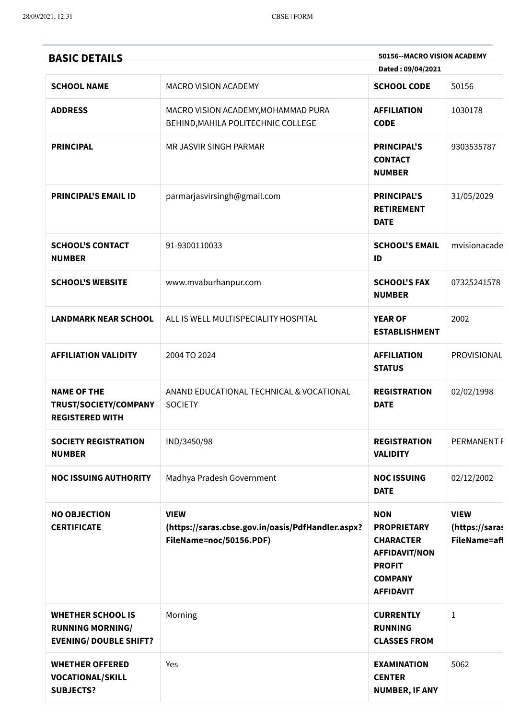| <b>BASIC DETAILS</b>                                                                 |                                                                                             | 50156--MACRO VISION ACADEMY<br>Dated: 09/04/2021                                                                                    |                                               |
|--------------------------------------------------------------------------------------|---------------------------------------------------------------------------------------------|-------------------------------------------------------------------------------------------------------------------------------------|-----------------------------------------------|
| <b>SCHOOL NAME</b>                                                                   | <b>MACRO VISION ACADEMY</b>                                                                 | <b>SCHOOL CODE</b>                                                                                                                  | 50156                                         |
| <b>ADDRESS</b>                                                                       | MACRO VISION ACADEMY, MOHAMMAD PURA<br>BEHIND, MAHILA POLITECHNIC COLLEGE                   | <b>AFFILIATION</b><br><b>CODE</b>                                                                                                   | 1030178                                       |
| <b>PRINCIPAL</b>                                                                     | MR JASVIR SINGH PARMAR                                                                      | <b>PRINCIPAL'S</b><br><b>CONTACT</b><br><b>NUMBER</b>                                                                               | 9303535787                                    |
| <b>PRINCIPAL'S EMAIL ID</b>                                                          | parmarjasvirsingh@gmail.com                                                                 | <b>PRINCIPAL'S</b><br><b>RETIREMENT</b><br><b>DATE</b>                                                                              | 31/05/2029                                    |
| <b>SCHOOL'S CONTACT</b><br><b>NUMBER</b>                                             | 91-9300110033                                                                               | <b>SCHOOL'S EMAIL</b><br>ID                                                                                                         | mvisionacade                                  |
| <b>SCHOOL'S WEBSITE</b>                                                              | www.mvaburhanpur.com                                                                        | <b>SCHOOL'S FAX</b><br><b>NUMBER</b>                                                                                                | 07325241578                                   |
| <b>LANDMARK NEAR SCHOOL</b>                                                          | ALL IS WELL MULTISPECIALITY HOSPITAL                                                        | <b>YEAR OF</b><br><b>ESTABLISHMENT</b>                                                                                              | 2002                                          |
| <b>AFFILIATION VALIDITY</b>                                                          | 2004 TO 2024                                                                                | <b>AFFILIATION</b><br><b>STATUS</b>                                                                                                 | PROVISIONAL                                   |
| <b>NAME OF THE</b><br>TRUST/SOCIETY/COMPANY<br><b>REGISTERED WITH</b>                | ANAND EDUCATIONAL TECHNICAL & VOCATIONAL<br><b>SOCIETY</b>                                  | <b>REGISTRATION</b><br><b>DATE</b>                                                                                                  | 02/02/1998                                    |
| <b>SOCIETY REGISTRATION</b><br><b>NUMBER</b>                                         | IND/3450/98                                                                                 | <b>REGISTRATION</b><br><b>VALIDITY</b>                                                                                              | <b>PERMANENT I</b>                            |
| <b>NOC ISSUING AUTHORITY</b>                                                         | Madhya Pradesh Government                                                                   | <b>NOC ISSUING</b><br><b>DATE</b>                                                                                                   | 02/12/2002                                    |
| <b>NO OBJECTION</b><br><b>CERTIFICATE</b>                                            | <b>VIEW</b><br>(https://saras.cbse.gov.in/oasis/PdfHandler.aspx?<br>FileName=noc/50156.PDF) | <b>NON</b><br><b>PROPRIETARY</b><br><b>CHARACTER</b><br><b>AFFIDAVIT/NON</b><br><b>PROFIT</b><br><b>COMPANY</b><br><b>AFFIDAVIT</b> | <b>VIEW</b><br>(https://saras<br>FileName=afl |
| <b>WHETHER SCHOOL IS</b><br><b>RUNNING MORNING/</b><br><b>EVENING/ DOUBLE SHIFT?</b> | Morning                                                                                     | <b>CURRENTLY</b><br><b>RUNNING</b><br><b>CLASSES FROM</b>                                                                           | $\mathbf{1}$                                  |
| <b>WHETHER OFFERED</b><br><b>VOCATIONAL/SKILL</b><br><b>SUBJECTS?</b>                | Yes                                                                                         | <b>EXAMINATION</b><br><b>CENTER</b><br><b>NUMBER, IF ANY</b>                                                                        | 5062                                          |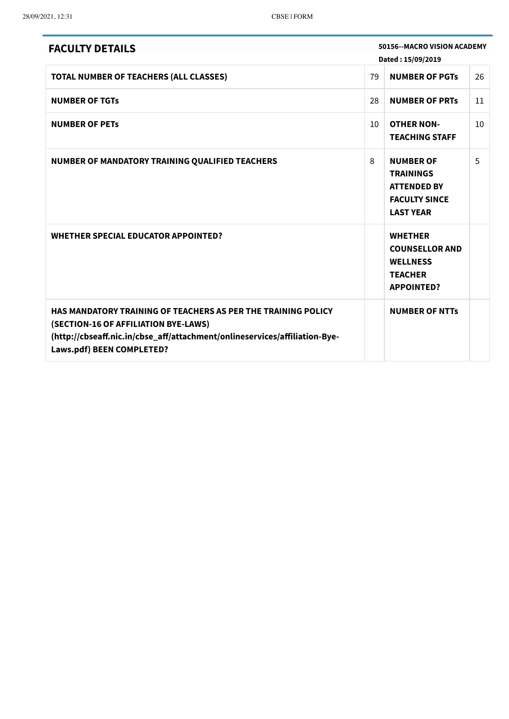| <b>FACULTY DETAILS</b>                                                                                                                                                                                                  |    | 50156--MACRO VISION ACADEMY                                                                            |    |
|-------------------------------------------------------------------------------------------------------------------------------------------------------------------------------------------------------------------------|----|--------------------------------------------------------------------------------------------------------|----|
|                                                                                                                                                                                                                         |    | Dated: 15/09/2019                                                                                      |    |
| TOTAL NUMBER OF TEACHERS (ALL CLASSES)                                                                                                                                                                                  | 79 | <b>NUMBER OF PGTs</b>                                                                                  | 26 |
| <b>NUMBER OF TGTs</b>                                                                                                                                                                                                   | 28 | <b>NUMBER OF PRTS</b>                                                                                  | 11 |
| <b>NUMBER OF PETS</b>                                                                                                                                                                                                   | 10 | <b>OTHER NON-</b><br><b>TEACHING STAFF</b>                                                             | 10 |
| NUMBER OF MANDATORY TRAINING QUALIFIED TEACHERS                                                                                                                                                                         | 8  | <b>NUMBER OF</b><br><b>TRAININGS</b><br><b>ATTENDED BY</b><br><b>FACULTY SINCE</b><br><b>LAST YEAR</b> | 5  |
| <b>WHETHER SPECIAL EDUCATOR APPOINTED?</b>                                                                                                                                                                              |    | <b>WHETHER</b><br><b>COUNSELLOR AND</b><br><b>WELLNESS</b><br><b>TEACHER</b><br><b>APPOINTED?</b>      |    |
| <b>HAS MANDATORY TRAINING OF TEACHERS AS PER THE TRAINING POLICY</b><br>(SECTION-16 OF AFFILIATION BYE-LAWS)<br>(http://cbseaff.nic.in/cbse_aff/attachment/onlineservices/affiliation-Bye-<br>Laws.pdf) BEEN COMPLETED? |    | <b>NUMBER OF NTTs</b>                                                                                  |    |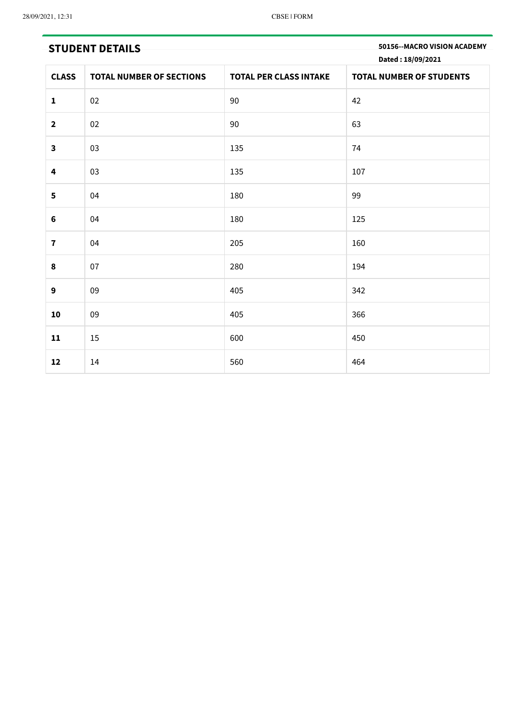**STUDENT DETAILS 50156--MACRO VISION ACADEMY Dated : 18/09/2021**

| <b>CLASS</b>            | <b>TOTAL NUMBER OF SECTIONS</b> | <b>TOTAL PER CLASS INTAKE</b> | $\sim$ $\sim$<br><b>TOTAL NUMBER OF STUDENTS</b> |
|-------------------------|---------------------------------|-------------------------------|--------------------------------------------------|
| $\mathbf 1$             | 02                              | $90\,$                        | 42                                               |
| $\mathbf{2}$            | $02\,$                          | 90                            | 63                                               |
| $\mathbf{3}$            | 03                              | 135                           | 74                                               |
| 4                       | 03                              | 135                           | 107                                              |
| 5                       | 04                              | 180                           | 99                                               |
| $\bf 6$                 | 04                              | 180                           | 125                                              |
| $\overline{\mathbf{7}}$ | 04                              | 205                           | 160                                              |
| 8                       | 07                              | 280                           | 194                                              |
| 9                       | 09                              | 405                           | 342                                              |
| 10                      | 09                              | 405                           | 366                                              |
| 11                      | 15                              | 600                           | 450                                              |
| 12                      | 14                              | 560                           | 464                                              |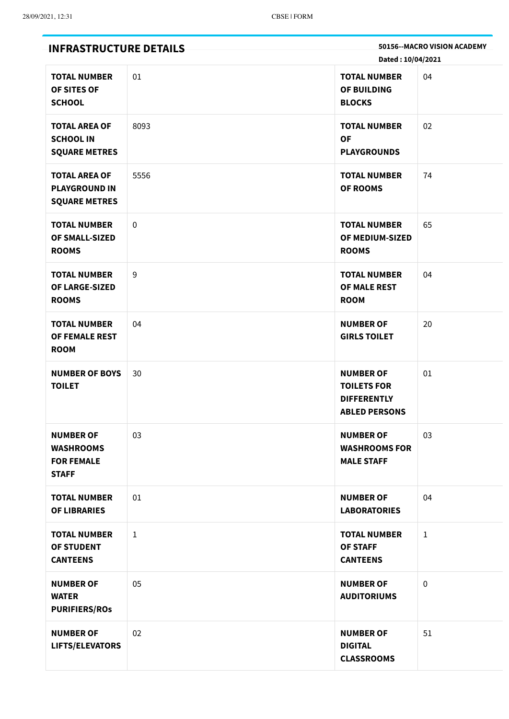| <b>INFRASTRUCTURE DETAILS</b>                                             |              | 50156--MACRO VISION ACADEMY<br>Dated: 10/04/2021                                     |              |  |
|---------------------------------------------------------------------------|--------------|--------------------------------------------------------------------------------------|--------------|--|
| <b>TOTAL NUMBER</b><br>OF SITES OF<br><b>SCHOOL</b>                       | 01           | <b>TOTAL NUMBER</b><br>OF BUILDING<br><b>BLOCKS</b>                                  | 04           |  |
| <b>TOTAL AREA OF</b><br><b>SCHOOL IN</b><br><b>SQUARE METRES</b>          | 8093         | <b>TOTAL NUMBER</b><br><b>OF</b><br><b>PLAYGROUNDS</b>                               | 02           |  |
| <b>TOTAL AREA OF</b><br><b>PLAYGROUND IN</b><br><b>SQUARE METRES</b>      | 5556         | <b>TOTAL NUMBER</b><br><b>OF ROOMS</b>                                               | 74           |  |
| <b>TOTAL NUMBER</b><br>OF SMALL-SIZED<br><b>ROOMS</b>                     | $\mathbf 0$  | <b>TOTAL NUMBER</b><br>OF MEDIUM-SIZED<br><b>ROOMS</b>                               | 65           |  |
| <b>TOTAL NUMBER</b><br>OF LARGE-SIZED<br><b>ROOMS</b>                     | 9            | <b>TOTAL NUMBER</b><br><b>OF MALE REST</b><br><b>ROOM</b>                            | 04           |  |
| <b>TOTAL NUMBER</b><br>OF FEMALE REST<br><b>ROOM</b>                      | 04           | <b>NUMBER OF</b><br><b>GIRLS TOILET</b>                                              | 20           |  |
| <b>NUMBER OF BOYS</b><br><b>TOILET</b>                                    | 30           | <b>NUMBER OF</b><br><b>TOILETS FOR</b><br><b>DIFFERENTLY</b><br><b>ABLED PERSONS</b> | 01           |  |
| <b>NUMBER OF</b><br><b>WASHROOMS</b><br><b>FOR FEMALE</b><br><b>STAFF</b> | 03           | <b>NUMBER OF</b><br><b>WASHROOMS FOR</b><br><b>MALE STAFF</b>                        | 03           |  |
| <b>TOTAL NUMBER</b><br><b>OF LIBRARIES</b>                                | 01           | <b>NUMBER OF</b><br><b>LABORATORIES</b>                                              | 04           |  |
| <b>TOTAL NUMBER</b><br><b>OF STUDENT</b><br><b>CANTEENS</b>               | $\mathbf{1}$ | <b>TOTAL NUMBER</b><br><b>OF STAFF</b><br><b>CANTEENS</b>                            | $\mathbf{1}$ |  |
| <b>NUMBER OF</b><br><b>WATER</b><br><b>PURIFIERS/ROS</b>                  | 05           | <b>NUMBER OF</b><br><b>AUDITORIUMS</b>                                               | 0            |  |
| <b>NUMBER OF</b><br>LIFTS/ELEVATORS                                       | 02           | <b>NUMBER OF</b><br><b>DIGITAL</b><br><b>CLASSROOMS</b>                              | 51           |  |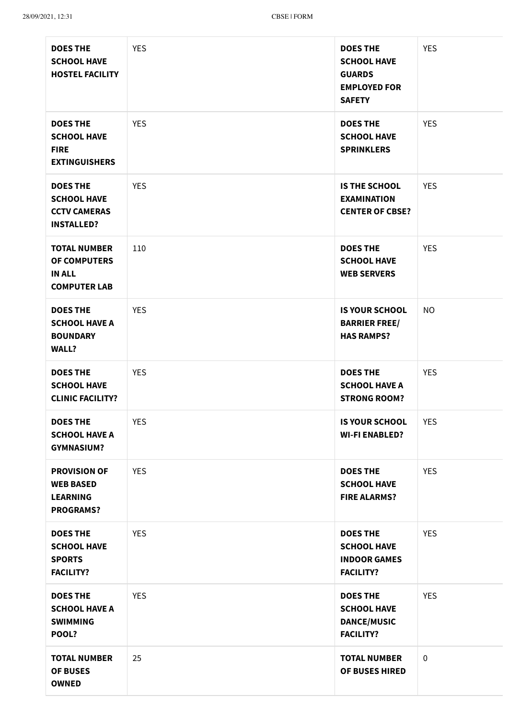| <b>DOES THE</b><br><b>SCHOOL HAVE</b><br><b>HOSTEL FACILITY</b>                    | <b>YES</b> | <b>DOES THE</b><br><b>SCHOOL HAVE</b><br><b>GUARDS</b><br><b>EMPLOYED FOR</b><br><b>SAFETY</b> | <b>YES</b>  |
|------------------------------------------------------------------------------------|------------|------------------------------------------------------------------------------------------------|-------------|
| <b>DOES THE</b><br><b>SCHOOL HAVE</b><br><b>FIRE</b><br><b>EXTINGUISHERS</b>       | <b>YES</b> | <b>DOES THE</b><br><b>SCHOOL HAVE</b><br><b>SPRINKLERS</b>                                     | <b>YES</b>  |
| <b>DOES THE</b><br><b>SCHOOL HAVE</b><br><b>CCTV CAMERAS</b><br><b>INSTALLED?</b>  | <b>YES</b> | <b>IS THE SCHOOL</b><br><b>EXAMINATION</b><br><b>CENTER OF CBSE?</b>                           | <b>YES</b>  |
| <b>TOTAL NUMBER</b><br><b>OF COMPUTERS</b><br><b>IN ALL</b><br><b>COMPUTER LAB</b> | 110        | <b>DOES THE</b><br><b>SCHOOL HAVE</b><br><b>WEB SERVERS</b>                                    | <b>YES</b>  |
| <b>DOES THE</b><br><b>SCHOOL HAVE A</b><br><b>BOUNDARY</b><br><b>WALL?</b>         | <b>YES</b> | <b>IS YOUR SCHOOL</b><br><b>BARRIER FREE/</b><br><b>HAS RAMPS?</b>                             | <b>NO</b>   |
| <b>DOES THE</b><br><b>SCHOOL HAVE</b><br><b>CLINIC FACILITY?</b>                   | <b>YES</b> | <b>DOES THE</b><br><b>SCHOOL HAVE A</b><br><b>STRONG ROOM?</b>                                 | <b>YES</b>  |
| <b>DOES THE</b><br><b>SCHOOL HAVE A</b><br><b>GYMNASIUM?</b>                       | <b>YES</b> | <b>IS YOUR SCHOOL</b><br><b>WI-FI ENABLED?</b>                                                 | <b>YES</b>  |
| <b>PROVISION OF</b><br><b>WEB BASED</b><br><b>LEARNING</b><br><b>PROGRAMS?</b>     | <b>YES</b> | <b>DOES THE</b><br><b>SCHOOL HAVE</b><br><b>FIRE ALARMS?</b>                                   | <b>YES</b>  |
| <b>DOES THE</b><br><b>SCHOOL HAVE</b><br><b>SPORTS</b><br><b>FACILITY?</b>         | <b>YES</b> | <b>DOES THE</b><br><b>SCHOOL HAVE</b><br><b>INDOOR GAMES</b><br><b>FACILITY?</b>               | <b>YES</b>  |
| <b>DOES THE</b><br><b>SCHOOL HAVE A</b><br><b>SWIMMING</b><br>POOL?                | <b>YES</b> | <b>DOES THE</b><br><b>SCHOOL HAVE</b><br><b>DANCE/MUSIC</b><br><b>FACILITY?</b>                | <b>YES</b>  |
| <b>TOTAL NUMBER</b><br><b>OF BUSES</b><br><b>OWNED</b>                             | 25         | <b>TOTAL NUMBER</b><br>OF BUSES HIRED                                                          | $\mathbf 0$ |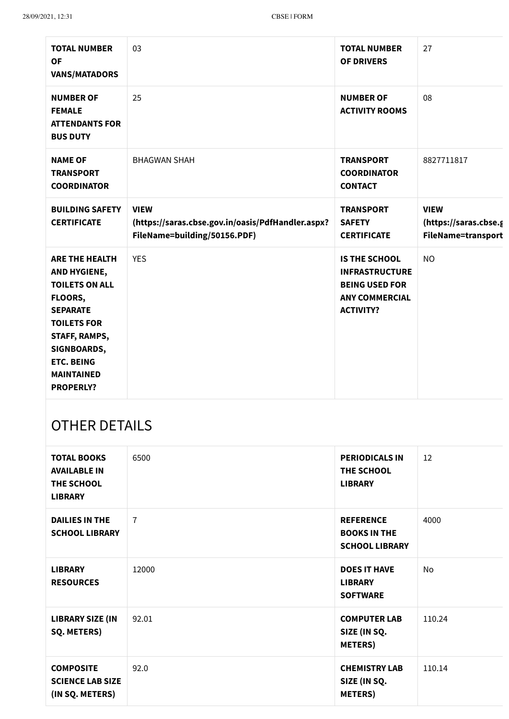| <b>TOTAL NUMBER</b><br><b>OF</b><br><b>VANS/MATADORS</b>                                                                                                                                                         | 03                                                                                               | <b>TOTAL NUMBER</b><br><b>OF DRIVERS</b>                                                                            | 27                                                         |
|------------------------------------------------------------------------------------------------------------------------------------------------------------------------------------------------------------------|--------------------------------------------------------------------------------------------------|---------------------------------------------------------------------------------------------------------------------|------------------------------------------------------------|
| <b>NUMBER OF</b><br><b>FEMALE</b><br><b>ATTENDANTS FOR</b><br><b>BUS DUTY</b>                                                                                                                                    | 25                                                                                               | <b>NUMBER OF</b><br><b>ACTIVITY ROOMS</b>                                                                           | 08                                                         |
| <b>NAME OF</b><br><b>TRANSPORT</b><br><b>COORDINATOR</b>                                                                                                                                                         | <b>BHAGWAN SHAH</b>                                                                              | <b>TRANSPORT</b><br><b>COORDINATOR</b><br><b>CONTACT</b>                                                            | 8827711817                                                 |
| <b>BUILDING SAFETY</b><br><b>CERTIFICATE</b>                                                                                                                                                                     | <b>VIEW</b><br>(https://saras.cbse.gov.in/oasis/PdfHandler.aspx?<br>FileName=building/50156.PDF) | <b>TRANSPORT</b><br><b>SAFETY</b><br><b>CERTIFICATE</b>                                                             | <b>VIEW</b><br>(https://saras.cbse.g<br>FileName=transport |
| <b>ARE THE HEALTH</b><br>AND HYGIENE,<br><b>TOILETS ON ALL</b><br>FLOORS,<br><b>SEPARATE</b><br><b>TOILETS FOR</b><br>STAFF, RAMPS,<br>SIGNBOARDS,<br><b>ETC. BEING</b><br><b>MAINTAINED</b><br><b>PROPERLY?</b> | <b>YES</b>                                                                                       | <b>IS THE SCHOOL</b><br><b>INFRASTRUCTURE</b><br><b>BEING USED FOR</b><br><b>ANY COMMERCIAL</b><br><b>ACTIVITY?</b> | <b>NO</b>                                                  |

## OTHER DETAILS

| <b>TOTAL BOOKS</b><br><b>AVAILABLE IN</b><br>THE SCHOOL<br><b>LIBRARY</b> | 6500           | <b>PERIODICALS IN</b><br><b>THE SCHOOL</b><br><b>LIBRARY</b>     | 12     |
|---------------------------------------------------------------------------|----------------|------------------------------------------------------------------|--------|
| <b>DAILIES IN THE</b><br><b>SCHOOL LIBRARY</b>                            | $\overline{7}$ | <b>REFERENCE</b><br><b>BOOKS IN THE</b><br><b>SCHOOL LIBRARY</b> | 4000   |
| <b>LIBRARY</b><br><b>RESOURCES</b>                                        | 12000          | <b>DOES IT HAVE</b><br><b>LIBRARY</b><br><b>SOFTWARE</b>         | No     |
| <b>LIBRARY SIZE (IN</b><br><b>SQ. METERS)</b>                             | 92.01          | <b>COMPUTER LAB</b><br>SIZE (IN SQ.<br><b>METERS</b> )           | 110.24 |
| <b>COMPOSITE</b><br><b>SCIENCE LAB SIZE</b><br>(IN SQ. METERS)            | 92.0           | <b>CHEMISTRY LAB</b><br>SIZE (IN SQ.<br><b>METERS</b> )          | 110.14 |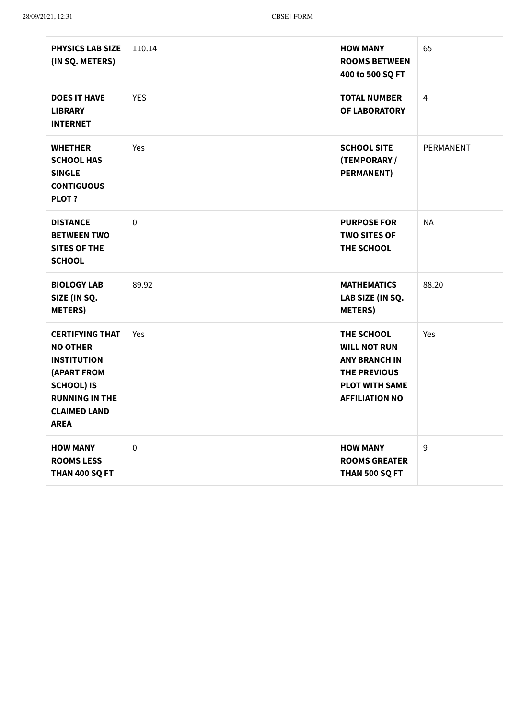| <b>PHYSICS LAB SIZE</b><br>(IN SQ. METERS)                                                                                                                                | 110.14     | <b>HOW MANY</b><br><b>ROOMS BETWEEN</b><br>400 to 500 SQ FT                                                                        | 65        |
|---------------------------------------------------------------------------------------------------------------------------------------------------------------------------|------------|------------------------------------------------------------------------------------------------------------------------------------|-----------|
| <b>DOES IT HAVE</b><br><b>LIBRARY</b><br><b>INTERNET</b>                                                                                                                  | <b>YES</b> | <b>TOTAL NUMBER</b><br><b>OF LABORATORY</b>                                                                                        | 4         |
| <b>WHETHER</b><br><b>SCHOOL HAS</b><br><b>SINGLE</b><br><b>CONTIGUOUS</b><br>PLOT ?                                                                                       | Yes        | <b>SCHOOL SITE</b><br>(TEMPORARY /<br><b>PERMANENT)</b>                                                                            | PERMANENT |
| <b>DISTANCE</b><br><b>BETWEEN TWO</b><br><b>SITES OF THE</b><br><b>SCHOOL</b>                                                                                             | $\pmb{0}$  | <b>PURPOSE FOR</b><br><b>TWO SITES OF</b><br>THE SCHOOL                                                                            | <b>NA</b> |
| <b>BIOLOGY LAB</b><br>SIZE (IN SQ.<br><b>METERS</b> )                                                                                                                     | 89.92      | <b>MATHEMATICS</b><br>LAB SIZE (IN SQ.<br><b>METERS</b> )                                                                          | 88.20     |
| <b>CERTIFYING THAT</b><br><b>NO OTHER</b><br><b>INSTITUTION</b><br><b>(APART FROM</b><br><b>SCHOOL) IS</b><br><b>RUNNING IN THE</b><br><b>CLAIMED LAND</b><br><b>AREA</b> | Yes        | THE SCHOOL<br><b>WILL NOT RUN</b><br><b>ANY BRANCH IN</b><br><b>THE PREVIOUS</b><br><b>PLOT WITH SAME</b><br><b>AFFILIATION NO</b> | Yes       |
| <b>HOW MANY</b><br><b>ROOMS LESS</b><br>THAN 400 SQ FT                                                                                                                    | $\pmb{0}$  | <b>HOW MANY</b><br><b>ROOMS GREATER</b><br>THAN 500 SQ FT                                                                          | 9         |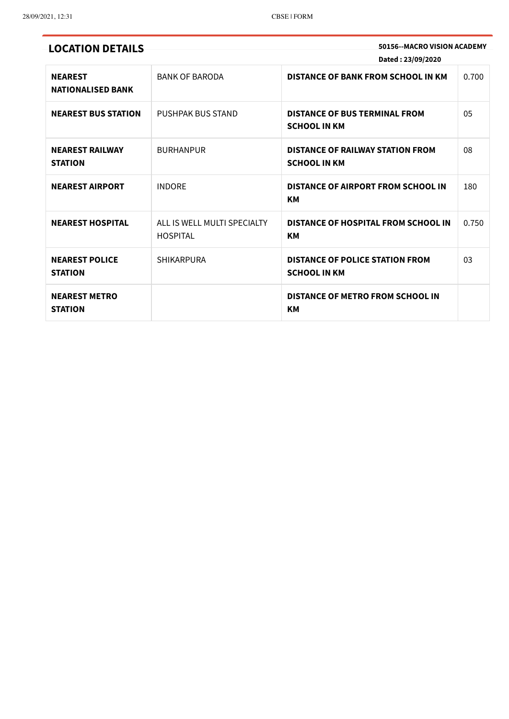**LOCATION DETAILS 50156--MACRO VISION ACADEMY Dated : 23/09/2020**

| <b>NEAREST</b><br><b>NATIONALISED BANK</b> | <b>BANK OF BARODA</b>                          | <b>DISTANCE OF BANK FROM SCHOOL IN KM</b>                      | 0.700 |
|--------------------------------------------|------------------------------------------------|----------------------------------------------------------------|-------|
| <b>NEAREST BUS STATION</b>                 | <b>PUSHPAK BUS STAND</b>                       | <b>DISTANCE OF BUS TERMINAL FROM</b><br><b>SCHOOL IN KM</b>    | 05    |
| <b>NEAREST RAILWAY</b><br><b>STATION</b>   | <b>BURHANPUR</b>                               | <b>DISTANCE OF RAILWAY STATION FROM</b><br><b>SCHOOL IN KM</b> | 08    |
| <b>NEAREST AIRPORT</b>                     | <b>INDORF</b>                                  | <b>DISTANCE OF AIRPORT FROM SCHOOL IN</b><br><b>KM</b>         | 180   |
| <b>NEAREST HOSPITAL</b>                    | ALL IS WELL MULTI SPECIALTY<br><b>HOSPITAL</b> | <b>DISTANCE OF HOSPITAL FROM SCHOOL IN</b><br>KМ               | 0.750 |
| <b>NEAREST POLICE</b><br><b>STATION</b>    | <b>SHIKARPURA</b>                              | <b>DISTANCE OF POLICE STATION FROM</b><br><b>SCHOOL IN KM</b>  | 03    |
| <b>NEAREST METRO</b><br><b>STATION</b>     |                                                | <b>DISTANCE OF METRO FROM SCHOOL IN</b><br><b>KM</b>           |       |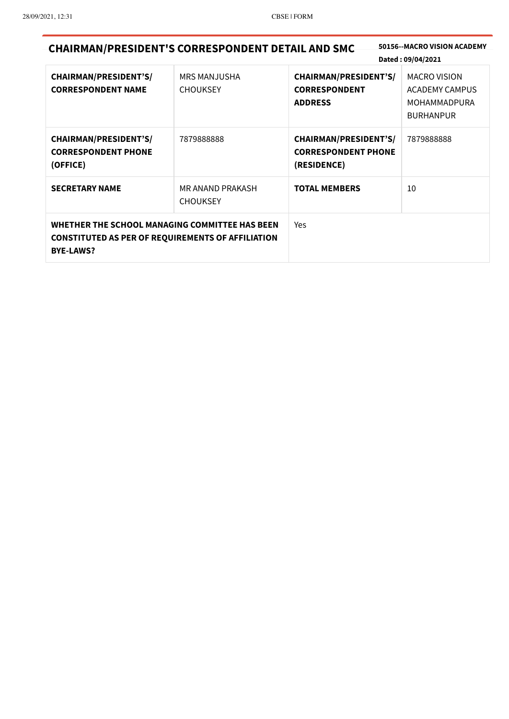| <b>CHAIRMAN/PRESIDENT'S CORRESPONDENT DETAIL AND SMC</b>                                                                       |                                        |                                                                           | 50156--MACRO VISION ACADEMY<br>Dated: 09/04/2021                                        |
|--------------------------------------------------------------------------------------------------------------------------------|----------------------------------------|---------------------------------------------------------------------------|-----------------------------------------------------------------------------------------|
| <b>CHAIRMAN/PRESIDENT'S/</b><br><b>CORRESPONDENT NAME</b>                                                                      | <b>MRS MANJUSHA</b><br><b>CHOUKSEY</b> | <b>CHAIRMAN/PRESIDENT'S/</b><br><b>CORRESPONDENT</b><br><b>ADDRESS</b>    | <b>MACRO VISION</b><br><b>ACADEMY CAMPUS</b><br><b>MOHAMMADPURA</b><br><b>BURHANPUR</b> |
| <b>CHAIRMAN/PRESIDENT'S/</b><br><b>CORRESPONDENT PHONE</b><br>(OFFICE)                                                         | 7879888888                             | <b>CHAIRMAN/PRESIDENT'S/</b><br><b>CORRESPONDENT PHONE</b><br>(RESIDENCE) | 7879888888                                                                              |
| <b>SECRETARY NAME</b>                                                                                                          | MR ANAND PRAKASH<br><b>CHOUKSEY</b>    | <b>TOTAL MEMBERS</b>                                                      | 10                                                                                      |
| WHETHER THE SCHOOL MANAGING COMMITTEE HAS BEEN<br><b>CONSTITUTED AS PER OF REQUIREMENTS OF AFFILIATION</b><br><b>BYE-LAWS?</b> |                                        | Yes                                                                       |                                                                                         |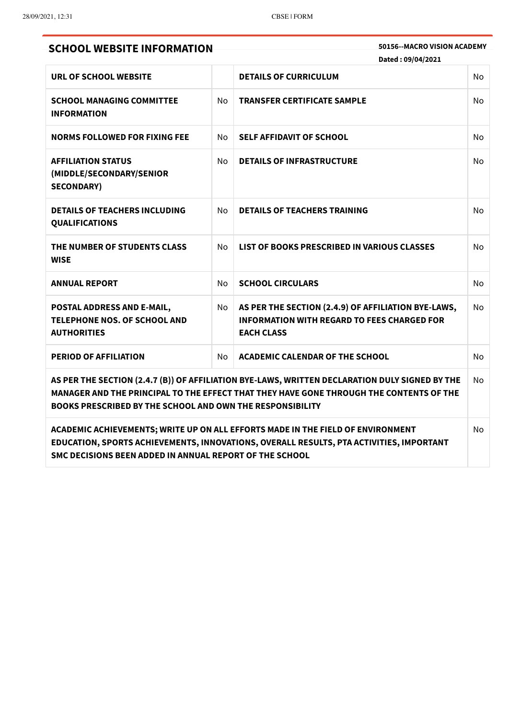**SCHOOL WEBSITE INFORMATION 50156--MACRO VISION ACADEMY**

**Dated : 09/04/2021**

| URL OF SCHOOL WEBSITE                                                                                                                                                                                                                                                      |                | <b>DETAILS OF CURRICULUM</b>                                                                                                   | <b>No</b> |  |
|----------------------------------------------------------------------------------------------------------------------------------------------------------------------------------------------------------------------------------------------------------------------------|----------------|--------------------------------------------------------------------------------------------------------------------------------|-----------|--|
| <b>SCHOOL MANAGING COMMITTEE</b><br><b>INFORMATION</b>                                                                                                                                                                                                                     | <b>No</b>      | <b>TRANSFER CERTIFICATE SAMPLE</b>                                                                                             | <b>No</b> |  |
| <b>NORMS FOLLOWED FOR FIXING FEE</b>                                                                                                                                                                                                                                       | No.            | <b>SELF AFFIDAVIT OF SCHOOL</b>                                                                                                | <b>No</b> |  |
| <b>AFFILIATION STATUS</b><br>(MIDDLE/SECONDARY/SENIOR<br><b>SECONDARY)</b>                                                                                                                                                                                                 | N <sub>o</sub> | <b>DETAILS OF INFRASTRUCTURE</b>                                                                                               | <b>No</b> |  |
| <b>DETAILS OF TEACHERS INCLUDING</b><br><b>QUALIFICATIONS</b>                                                                                                                                                                                                              | No             | <b>DETAILS OF TEACHERS TRAINING</b>                                                                                            | <b>No</b> |  |
| THE NUMBER OF STUDENTS CLASS<br><b>WISE</b>                                                                                                                                                                                                                                | <b>No</b>      | LIST OF BOOKS PRESCRIBED IN VARIOUS CLASSES                                                                                    | <b>No</b> |  |
| <b>ANNUAL REPORT</b>                                                                                                                                                                                                                                                       | No             | <b>SCHOOL CIRCULARS</b>                                                                                                        | <b>No</b> |  |
| POSTAL ADDRESS AND E-MAIL,<br><b>TELEPHONE NOS. OF SCHOOL AND</b><br><b>AUTHORITIES</b>                                                                                                                                                                                    | No             | AS PER THE SECTION (2.4.9) OF AFFILIATION BYE-LAWS,<br><b>INFORMATION WITH REGARD TO FEES CHARGED FOR</b><br><b>EACH CLASS</b> | <b>No</b> |  |
| <b>PERIOD OF AFFILIATION</b>                                                                                                                                                                                                                                               | No.            | <b>ACADEMIC CALENDAR OF THE SCHOOL</b>                                                                                         | <b>No</b> |  |
| AS PER THE SECTION (2.4.7 (B)) OF AFFILIATION BYE-LAWS, WRITTEN DECLARATION DULY SIGNED BY THE<br><b>No</b><br>MANAGER AND THE PRINCIPAL TO THE EFFECT THAT THEY HAVE GONE THROUGH THE CONTENTS OF THE<br><b>BOOKS PRESCRIBED BY THE SCHOOL AND OWN THE RESPONSIBILITY</b> |                |                                                                                                                                |           |  |

**ACADEMIC ACHIEVEMENTS; WRITE UP ON ALL EFFORTS MADE IN THE FIELD OF ENVIRONMENT EDUCATION, SPORTS ACHIEVEMENTS, INNOVATIONS, OVERALL RESULTS, PTA ACTIVITIES, IMPORTANT SMC DECISIONS BEEN ADDED IN ANNUAL REPORT OF THE SCHOOL** No